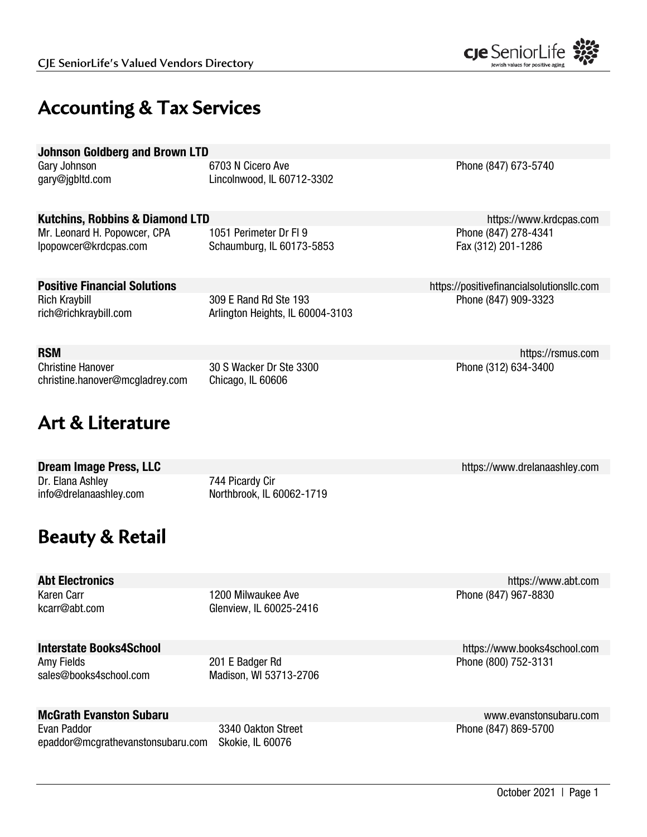

# **Accounting & Tax Services**

| <b>Johnson Goldberg and Brown LTD</b> |  |
|---------------------------------------|--|
|---------------------------------------|--|

Gary Johnson 6703 N Cicero Ave Phone (847) 673-5740 gary@jgbltd.com Lincolnwood, IL 60712-3302

### Kutchins, Robbins & Diamond LTD **https://www.krdcpas.com** https://www.krdcpas.com

Mr. Leonard H. Popowcer, CPA 1051 Perimeter Dr Fl 9 Phone (847) 278-4341 lpopowcer@krdcpas.com Schaumburg, IL 60173-5853 Fax (312) 201-1286

Rich Kraybill 309 E Rand Rd Ste 193 Phone (847) 909-3323 rich@richkraybill.com Arlington Heights, IL 60004-3103

Christine Hanover 30 S Wacker Dr Ste 3300 Phone (312) 634-3400 christine.hanover@mcgladrey.com Chicago, IL 60606

# **Art & Literature**

**Dream Image Press, LLC https://www.drelanaashley.com Dream Image Press, LLC** Dr. Elana Ashley 744 Picardy Cir info@drelanaashley.com Northbrook, IL 60062-1719

# **Beauty & Retail**

Karen Carr **1200 Milwaukee Ave Phone (847) 967-8830** External Ave Phone (847) 967-8830 kcarr@abt.com Glenview, IL 60025-2416

Amy Fields 201 E Badger Rd 201 E Badger Rd Phone (800) 752-3131

sales@books4school.com Madison, WI 53713-2706

# McGrath Evanston Subaru www.evanstonsubaru.com

Evan Paddor **3340 Oakton Street Phone (847) 869-5700** Casset Phone (847) 869-5700 epaddor@mcgrathevanstonsubaru.com Skokie, IL 60076

**Positive Financial Solutions** https://positivefinancialsolutionsllc.com

RSM https://rsmus.com

Abt Electronics https://www.abt.com

Interstate Books4School https://www.books4school.com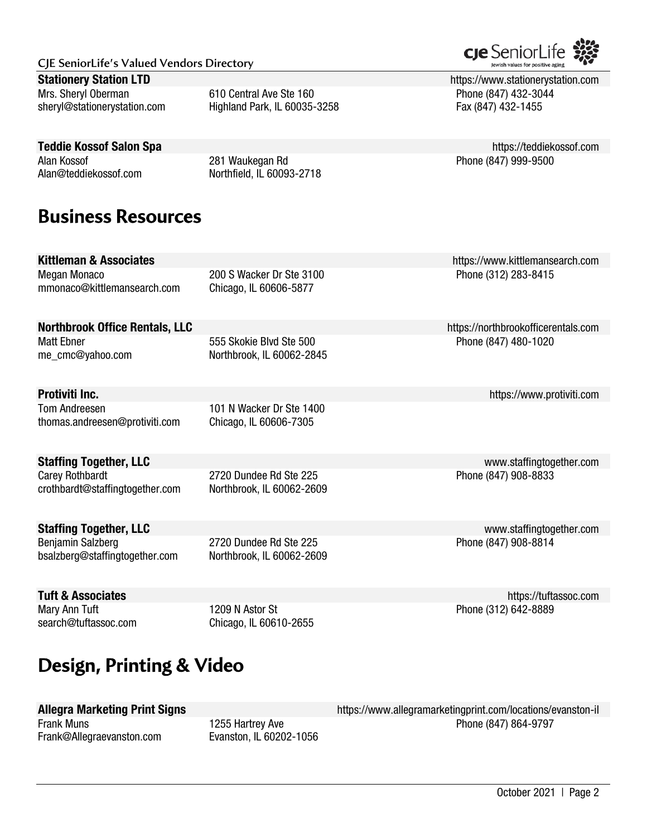#### **Stationery Station LTD https://www.stationerystation.com**

Mrs. Sheryl Oberman **610 Central Ave Ste 160** Phone (847) 432-3044 sheryl@stationerystation.com Highland Park, IL 60035-3258 Fax (847) 432-1455

### Teddie Kossof Salon Spa https://teddiekossof.com

Alan Kossof 281 Waukegan Rd Phone (847) 999-9500 Alan@teddiekossof.com Northfield, IL 60093-2718

# **Business Resources**

Megan Monaco 200 S Wacker Dr Ste 3100 Phone (312) 283-8415 mmonaco@kittlemansearch.com Chicago, IL 60606-5877

# **Northbrook Office Rentals, LLC** https://northbrookofficerentals.com

me\_cmc@yahoo.com Northbrook, IL 60062-2845

**Protiviti Inc. Protiviti Inc. https://www.protiviti.com** Tom Andreesen 101 N Wacker Dr Ste 1400 thomas.andreesen@protiviti.com Chicago, IL 60606-7305

**Staffing Together, LLC Staffing Together, LLC** www.staffingtogether.com Carey Rothbardt **2720 Dundee Rd Ste 225** Phone (847) 908-8833

Benjamin Salzberg 2720 Dundee Rd Ste 225 Phone (847) 908-8814 bsalzberg@staffingtogether.com Northbrook, IL 60062-2609

Mary Ann Tuft 1209 N Astor St Phone (312) 642-8889 search@tuftassoc.com Chicago, IL 60610-2655

# **Design, Printing & Video**

Frank@Allegraevanston.com Evanston, IL 60202-1056

Allegra Marketing Print Signs https://www.allegramarketingprint.com/locations/evanston-il Frank Muns **Frank Muns 1255 Hartrey Ave Phone (847) 864-9797** 

**Kittleman & Associates https://www.kittlemansearch.com** 

Matt Ebner 1990 1020 555 Skokie Blvd Ste 500 500 500 Finance (847) 480-1020

**Staffing Together, LLC** www.staffingtogether.com

**Tuft & Associates** https://tuftassoc.com

crothbardt@staffingtogether.com Northbrook, IL 60062-2609



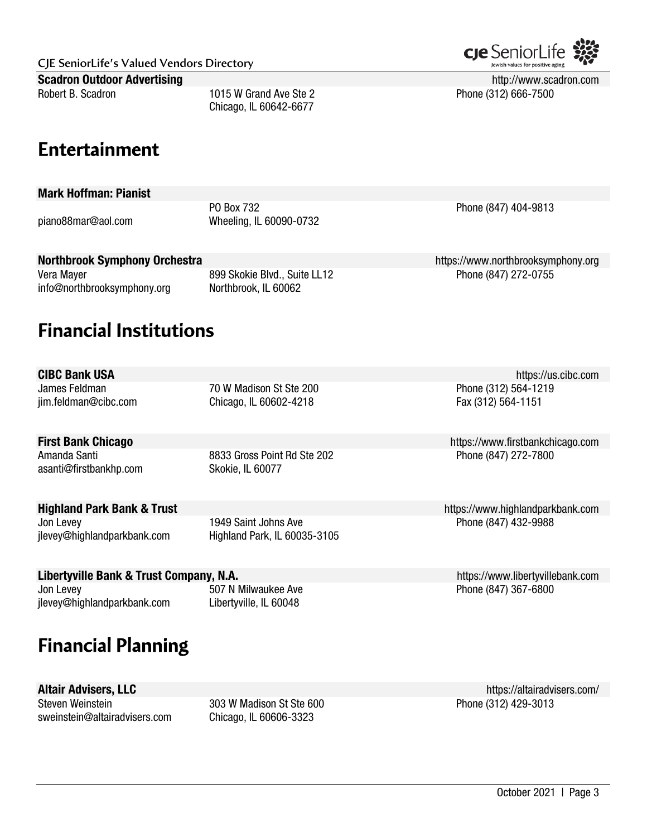**CJE SeniorLife's Valued Vendors Directory** Scadron Outdoor Advertising **http://www.scadron.com** http://www.scadron.com Robert B. Scadron **1015 W** Grand Ave Ste 2 **Phone (312) 666-7500** Phone (312) 666-7500

**Entertainment** 

### Mark Hoffman: Pianist

PO Box 732 **Phone (847)** 404-9813 piano88mar@aol.com Wheeling, IL 60090-0732

Chicago, IL 60642-6677

### Northbrook Symphony Orchestra https://www.northbrooksymphony.org

Vera Mayer **899 Skokie Blvd., Suite LL12** Phone (847) 272-0755 info@northbrooksymphony.org Northbrook, IL 60062

# **Financial Institutions**

**CIBC Bank USA** https://us.cibc.com

James Feldman 70 W Madison St Ste 200 Phone (312) 564-1219 jim.feldman@cibc.com Chicago, IL 60602-4218 Fax (312) 564-1151

asanti@firstbankhp.com Skokie, IL 60077

Amanda Santi **8833 Gross Point Rd Ste 202** Phone (847) 272-7800

Jon Levey **1949 Saint Johns Ave Phone (847) 432-9988** Jon Levey **Phone (847)** 432-9988 jlevey@highlandparkbank.com Highland Park, IL 60035-3105

# Libertyville Bank & Trust Company, N.A. https://www.libertyvillebank.com

jlevey@highlandparkbank.com Libertyville, IL 60048

# **Financial Planning**

Steven Weinstein **303 W Madison St Ste 600** Phone (312) 429-3013 sweinstein@altairadvisers.com Chicago, IL 60606-3323

Altair Advisers, LLC **Altair Advisers, LLC** https://altairadvisers.com/

**First Bank Chicago https://www.firstbankchicago.com** 

**Highland Park Bank & Trust https://www.highlandparkbank.com** 

Jon Levey **507 N Milwaukee Ave Phone (847) 367-6800** Solvey And The Book 1970 Solvey Ave Phone (847) 367-6800

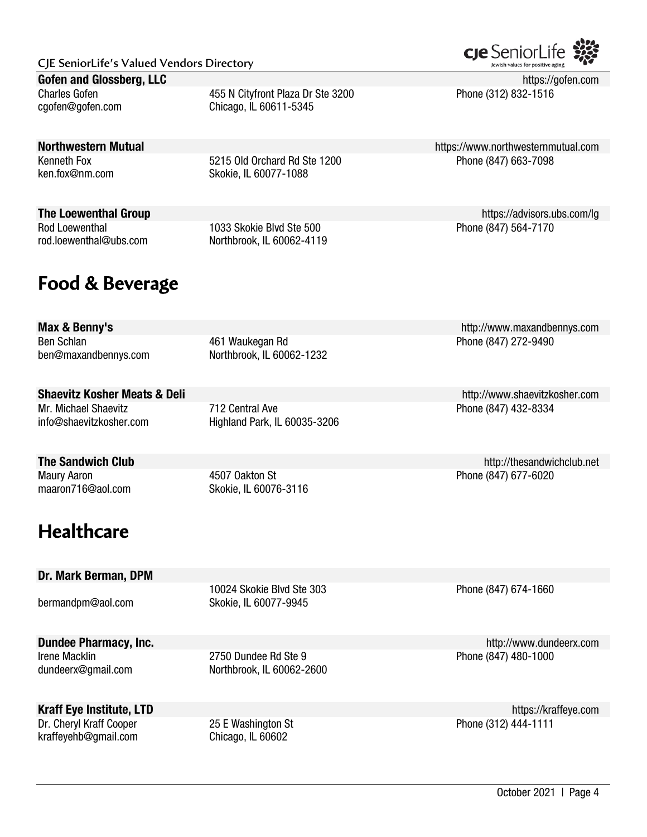#### Gofen and Glossberg, LLC https://gofen.com https://gofen.com https://gofen.com https://gofen.com

Charles Gofen 455 N Cityfront Plaza Dr Ste 3200 Phone (312) 832-1516 cgofen@gofen.com Chicago, IL 60611-5345

### **Northwestern Mutual https://www.northwesternmutual.com**

Kenneth Fox **5215 Old Orchard Rd Ste 1200** Phone (847) 663-7098 ken.fox@nm.com Skokie, IL 60077-1088

The Loewenthal Group https://advisors.ubs.com/lg

Rod Loewenthal **1033 Skokie Blvd Ste 500** Phone (847) 564-7170 rod.loewenthal@ubs.com Northbrook, IL 60062-4119

# **Food & Beverage**

Ben Schlan **Ben Schlan** 272-9490 ben@maxandbennys.com Northbrook, IL 60062-1232

### Shaevitz Kosher Meats & Deli http://www.shaevitzkosher.com

Mr. Michael Shaevitz **712 Central Ave Phone (847) 432-8334** info@shaevitzkosher.com Highland Park, IL 60035-3206

Maury Aaron **Accord 2018** 4507 Oakton St **Phone (847) 677-6020** maaron716@aol.com Skokie, IL 60076-3116

# **Healthcare**

### Dr. Mark Berman, DPM

Irene Macklin 2750 Dundee Rd Ste 9 Phone (847) 480-1000 dundeerx@gmail.com Northbrook, IL 60062-2600

kraffeyehb@gmail.com Chicago, IL 60602

**Dundee Pharmacy, Inc.** http://www.dundeerx.com

Kraff Eye Institute, LTD **Kraff Eye Institute, LTD https://kraffeye.com** Dr. Cheryl Kraff Cooper 25 E Washington St Phone (312) 444-1111

Max & Benny's http://www.maxandbennys.com

The Sandwich Club **http://thesandwichclub.net** 



10024 Skokie Blvd Ste 303 Phone (847) 674-1660 bermandpm@aol.com Skokie, IL 60077-9945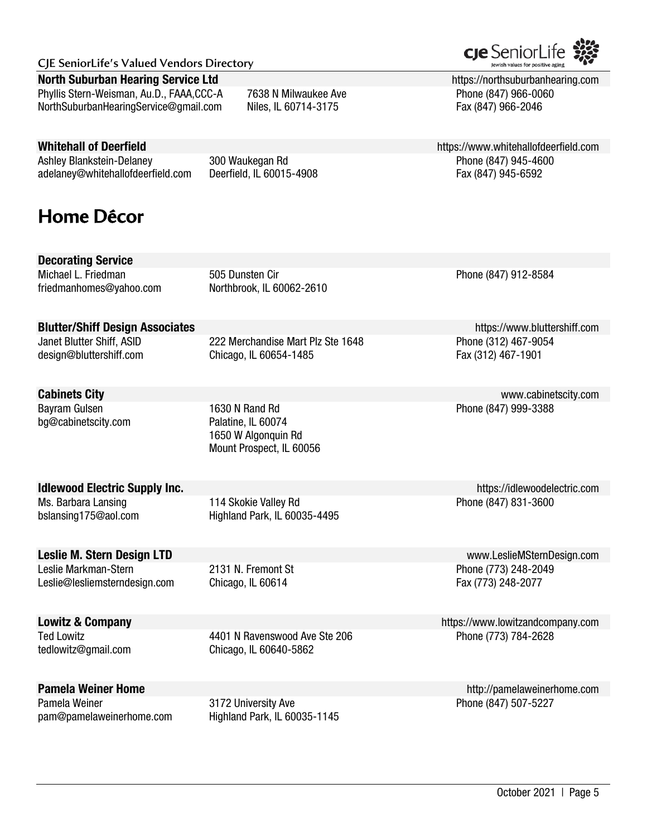#### **North Suburban Hearing Service Ltd https://northsuburbanhearing.com https://northsuburbanhearing.com**

Phyllis Stern-Weisman, Au.D., FAAA,CCC-A 7638 N Milwaukee Ave Phone (847) 966-0060 NorthSuburbanHearingService@gmail.com Niles, IL 60714-3175 Fax (847) 966-2046

Ashley Blankstein-Delaney 300 Waukegan Rd Phone (847) 945-4600 adelaney@whitehallofdeerfield.com Deerfield, IL 60015-4908 Fax (847) 945-6592

# **Home Décor**

Decorating Service

friedmanhomes@yahoo.com Northbrook, IL 60062-2610

Michael L. Friedman **505 Dunsten Cir** Phone (847) 912-8584

### **Blutter/Shiff Design Associates https://www.bluttershiff.com**

Janet Blutter Shiff, ASID 222 Merchandise Mart Plz Ste 1648 Phone (312) 467-9054 design@bluttershiff.com Chicago, IL 60654-1485 Fax (312) 467-1901

bg@cabinetscity.com Palatine, IL 60074

Bayram Gulsen **1630 N** Rand Rd Phone (847) 999-3388 1650 W Algonquin Rd Mount Prospect, IL 60056

### **Idlewood Electric Supply Inc. https://idlewoodelectric.com**

bslansing175@aol.com Highland Park, IL 60035-4495

Leslie@lesliemsterndesign.com Chicago, IL 60614 Fax (773) 248-2077

tedlowitz@gmail.com Chicago, IL 60640-5862

Pamela Weiner **3172 University Ave Phone (847) 507-5227** Phone (847) 507-5227 pam@pamelaweinerhome.com Highland Park, IL 60035-1145

Whitehall of Deerfield **https://www.whitehallofdeerfield.com** 

**Cabinets City** www.cabinetscity.com

Ms. Barbara Lansing **114 Skokie Valley Rd** Phone (847) 831-3600

Leslie M. Stern Design LTD www.LeslieMSternDesign.com Leslie Markman-Stern 2131 N. Fremont St Phone (773) 248-2049

Lowitz & Company https://www.lowitzandcompany.com Ted Lowitz **1401 N Ravenswood Ave Ste 206** Phone (773) 784-2628

**Pamela Weiner Home Community Community Community Community Community Community Community Community Community Community Community Community Community Community Community Community Community Community Community Community** 

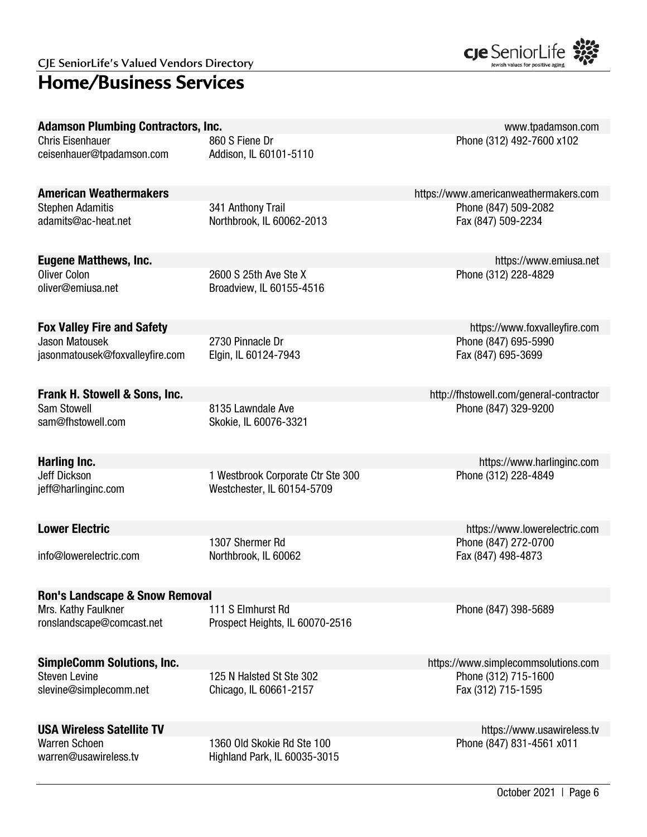# **Home/Business Services**



| <b>Adamson Plumbing Contractors, Inc.</b>      |                                                | www.tpadamson.com                          |
|------------------------------------------------|------------------------------------------------|--------------------------------------------|
| <b>Chris Eisenhauer</b>                        | 860 S Fiene Dr                                 | Phone (312) 492-7600 x102                  |
| ceisenhauer@tpadamson.com                      | Addison, IL 60101-5110                         |                                            |
|                                                |                                                |                                            |
|                                                |                                                |                                            |
| <b>American Weathermakers</b>                  |                                                | https://www.americanweathermakers.com      |
| <b>Stephen Adamitis</b><br>adamits@ac-heat.net | 341 Anthony Trail<br>Northbrook, IL 60062-2013 | Phone (847) 509-2082<br>Fax (847) 509-2234 |
|                                                |                                                |                                            |
|                                                |                                                |                                            |
| <b>Eugene Matthews, Inc.</b>                   |                                                | https://www.emiusa.net                     |
| <b>Oliver Colon</b>                            | 2600 S 25th Ave Ste X                          | Phone (312) 228-4829                       |
| oliver@emiusa.net                              | Broadview, IL 60155-4516                       |                                            |
|                                                |                                                |                                            |
|                                                |                                                |                                            |
| <b>Fox Valley Fire and Safety</b>              |                                                | https://www.foxvalleyfire.com              |
| <b>Jason Matousek</b>                          | 2730 Pinnacle Dr                               | Phone (847) 695-5990                       |
| jasonmatousek@foxvalleyfire.com                | Elgin, IL 60124-7943                           | Fax (847) 695-3699                         |
|                                                |                                                |                                            |
| Frank H. Stowell & Sons, Inc.                  |                                                | http://fhstowell.com/general-contractor    |
| Sam Stowell                                    | 8135 Lawndale Ave                              | Phone (847) 329-9200                       |
| sam@fhstowell.com                              | Skokie, IL 60076-3321                          |                                            |
|                                                |                                                |                                            |
|                                                |                                                |                                            |
| Harling Inc.                                   |                                                | https://www.harlinginc.com                 |
| Jeff Dickson                                   | 1 Westbrook Corporate Ctr Ste 300              | Phone (312) 228-4849                       |
| jeff@harlinginc.com                            | Westchester, IL 60154-5709                     |                                            |
|                                                |                                                |                                            |
| <b>Lower Electric</b>                          |                                                | https://www.lowerelectric.com              |
|                                                | 1307 Shermer Rd                                | Phone (847) 272-0700                       |
| info@lowerelectric.com                         | Northbrook, IL 60062                           | Fax (847) 498-4873                         |
|                                                |                                                |                                            |
|                                                |                                                |                                            |
| <b>Ron's Landscape &amp; Snow Removal</b>      |                                                |                                            |
| Mrs. Kathy Faulkner                            | 111 S Elmhurst Rd                              | Phone (847) 398-5689                       |
| ronslandscape@comcast.net                      | Prospect Heights, IL 60070-2516                |                                            |
|                                                |                                                |                                            |
| <b>SimpleComm Solutions, Inc.</b>              |                                                | https://www.simplecommsolutions.com        |
| <b>Steven Levine</b>                           | 125 N Halsted St Ste 302                       | Phone (312) 715-1600                       |
| slevine@simplecomm.net                         | Chicago, IL 60661-2157                         | Fax (312) 715-1595                         |
|                                                |                                                |                                            |
|                                                |                                                |                                            |
| <b>USA Wireless Satellite TV</b>               |                                                | https://www.usawireless.tv                 |
| <b>Warren Schoen</b>                           | 1360 Old Skokie Rd Ste 100                     | Phone (847) 831-4561 x011                  |
| warren@usawireless.tv                          | Highland Park, IL 60035-3015                   |                                            |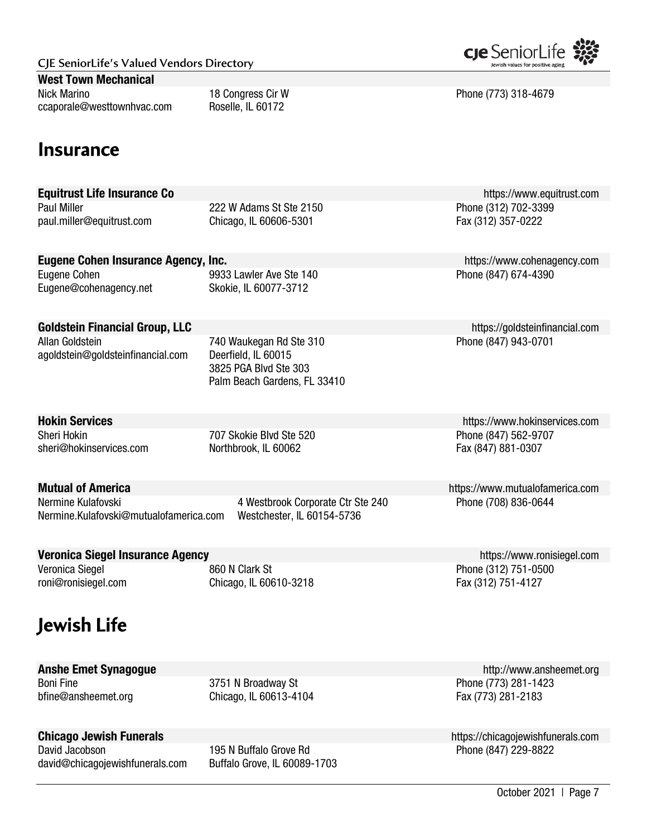| CJE SeniorLife's Valued Vendors Directory |
|-------------------------------------------|
|-------------------------------------------|

#### West Town Mechanical

Nick Marino 18 Congress Cir W Phone (773) 318-4679 ccaporale@westtownhvac.com Roselle, IL 60172

P22 W Adams St Ste 2150

| paul.miller@equitrust.com                                    | Chicago, IL 60606-5301                                                                                  | $101010011$ $1010000$<br>Fax (312) 357-0222 |
|--------------------------------------------------------------|---------------------------------------------------------------------------------------------------------|---------------------------------------------|
| <b>Eugene Cohen Insurance Agency, Inc.</b>                   |                                                                                                         | https://www.cohenagency.com                 |
| Eugene Cohen<br>Eugene@cohenagency.net                       | 9933 Lawler Ave Ste 140<br>Skokie, IL 60077-3712                                                        | Phone (847) 674-4390                        |
| <b>Goldstein Financial Group, LLC</b>                        |                                                                                                         | https://goldsteinfinancial.com              |
| Allan Goldstein<br>agoldstein@goldsteinfinancial.com         | 740 Waukegan Rd Ste 310<br>Deerfield, IL 60015<br>3825 PGA Blvd Ste 303<br>Palm Beach Gardens, FL 33410 | Phone (847) 943-0701                        |
| <b>Hokin Services</b>                                        |                                                                                                         | https://www.hokinservices.com               |
| Sheri Hokin<br>sheri@hokinservices.com                       | 707 Skokie Blvd Ste 520<br>Northbrook, IL 60062                                                         | Phone (847) 562-9707<br>Fax (847) 881-0307  |
| <b>Mutual of America</b>                                     |                                                                                                         | https://www.mutualofamerica.com             |
| Nermine Kulafovski<br>Nermine.Kulafovski@mutualofamerica.com | 4 Westbrook Corporate Ctr Ste 240<br>Westchester, IL 60154-5736                                         | Phone (708) 836-0644                        |
| Veronica Siegel Insurance Agency                             |                                                                                                         | https://www.ronisiegel.com                  |
| Veronica Siegel<br>roni@ronisiegel.com                       | 860 N Clark St<br>Chicago, IL 60610-3218                                                                | Phone (312) 751-0500<br>Fax (312) 751-4127  |

# **Jewish Life**

Boni Fine 3751 N Broadway St Phone (773) 281-1423

bfine@ansheemet.org Chicago, IL 60613-4104 Fax (773) 281-2183

David Jacobson 195 N Buffalo Grove Rd david@chicagojewishfunerals.com Buffalo Grove, IL 60089-1703



**Chicago Jewish Funerals**<br>David Jacobson **Funerals.com** 195 N Buffalo Grove Rd **https://chicagojewishfunerals.com**<br>Phone (847) 229-8822



**Equitrust Life Insurance Co**<br>Paul Miller **Connel Connel Connel Connel Connel Connel Connel Connel Connel Connel Connel Connel Connel Connel Co**<br>Phone (312) 702-3399

# **Insurance**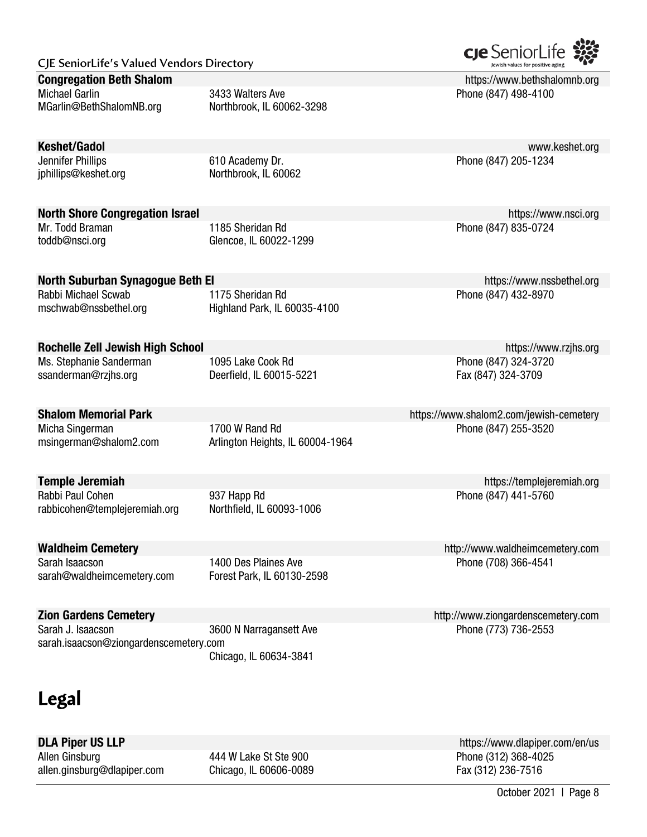Michael Garlin 3433 Walters Ave Phone (847) 498-4100 MGarlin@BethShalomNB.org Northbrook, IL 60062-3298

jphillips@keshet.org Northbrook, IL 60062

### North Shore Congregation Israel https://www.nsci.org/

Mr. Todd Braman **1185 Sheridan Rd** Phone (847) 835-0724 toddb@nsci.org Glencoe, IL 60022-1299

### North Suburban Synagogue Beth El https://www.nssbethel.org/

Rabbi Michael Scwab **1175 Sheridan Rd** Phone (847) 432-8970 mschwab@nssbethel.org Highland Park, IL 60035-4100

### Rochelle Zell Jewish High School **https://www.rzjhs.org** https://www.rzjhs.org https://www.rzjhs.org

Ms. Stephanie Sanderman and a 1095 Lake Cook Rd Phone (847) 324-3720 ssanderman@rzjhs.org Deerfield, IL 60015-5221 Fax (847) 324-3709

msingerman@shalom2.com Arlington Heights, IL 60004-1964

Rabbi Paul Cohen **847)** 937 Happ Rd Phone (847) 441-5760 rabbicohen@templejeremiah.org Northfield, IL 60093-1006

sarah@waldheimcemetery.com Forest Park, IL 60130-2598

Sarah Isaacson **1400 Des Plaines Ave Phone (708) 366-4541** Phone (708) 366-4541

Sarah J. Isaacson 3600 N Narragansett Ave Phone (773) 736-2553 sarah.isaacson@ziongardenscemetery.com Chicago, IL 60634-3841

# **Legal**

Allen Ginsburg **444 W Lake St Ste 900** Phone (312) 368-4025 allen.ginsburg@dlapiper.com Chicago, IL 60606-0089 Fax (312) 236-7516

**DLA Piper US LLP DESET ACCOUNT ACCOUNT ACCOUNT ACCOUNT ACCOUNT ACCOUNT ACCOUNT ACCOUNT ACCOUNT ACCOUNT ACCOUNT ACCOUNT ACCOUNT ACCOUNT ACCOUNT ACCOUNT ACCOUNT ACCOUNT ACCOUNT ACCOUNT ACCOUNT ACCOUNT ACCOUNT ACCOUNT ACCO** 

October 2021 | Page 8



**Congregation Beth Shalom https://www.bethshalomnb.org Congregation Beth Shalom** https://www.bethshalomnb.org

Keshet/Gadol www.keshet.org Jennifer Phillips 610 Academy Dr. Phone (847) 205-1234

Shalom Memorial Park https://www.shalom2.com/jewish-cemetery Micha Singerman **1700 W Rand Rd** Phone (847) 255-3520

**Temple Jeremiah https://templejeremiah.org https://templejeremiah.org https://templejeremiah.org** 

**Waldheim Cemetery http://www.waldheimcemetery.com** 

Zion Gardens Cemetery http://www.ziongardenscemetery.com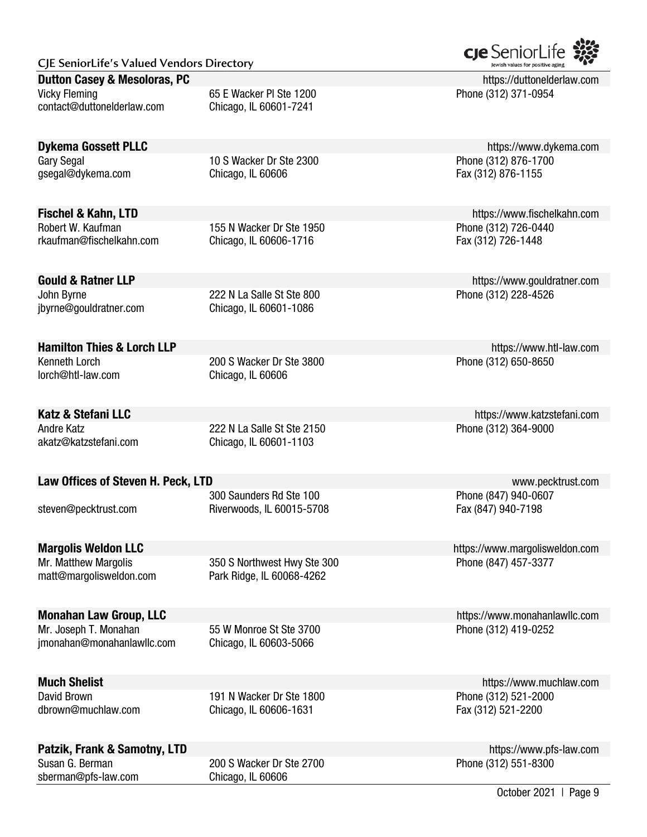#### **Dutton Casey & Mesoloras, PC https://duttonelderlaw.com https://duttonelderlaw.com**

Vicky Fleming **Example 2018** 65 E Wacker Pl Ste 1200 **Phone (312) 371-0954** Phone (312) 371-0954 contact@duttonelderlaw.com Chicago, IL 60601-7241

gsegal@dykema.com Chicago, IL 60606 Fax (312) 876-1155

Robert W. Kaufman 155 N Wacker Dr Ste 1950 Phone (312) 726-0440 rkaufman@fischelkahn.com Chicago, IL 60606-1716 Fax (312) 726-1448

John Byrne 222 N La Salle St Ste 800 Phone (312) 228-4526 jbyrne@gouldratner.com Chicago, IL 60601-1086

Kenneth Lorch **200 S Wacker Dr Ste 3800** Phone (312) 650-8650 lorch@htl-law.com Chicago, IL 60606

Andre Katz **222 N La Salle St Ste 2150** Phone (312) 364-9000 akatz@katzstefani.com Chicago, IL 60601-1103

### Law Offices of Steven H. Peck, LTD www.pecktrust.com

steven@pecktrust.com Riverwoods, IL 60015-5708 Fax (847) 940-7198

matt@margolisweldon.com Park Ridge, IL 60068-4262

Mr. Matthew Margolis 350 S Northwest Hwy Ste 300 Phone (847) 457-3377

jmonahan@monahanlawllc.com Chicago, IL 60603-5066

dbrown@muchlaw.com Chicago, IL 60606-1631 Fax (312) 521-2200

David Brown 191 N Wacker Dr Ste 1800 Phone (312) 521-2000

### Patzik, Frank & Samotny, LTD **https://www.pfs-law.com**

sberman@pfs-law.com Chicago, IL 60606

Susan G. Berman 200 S Wacker Dr Ste 2700 Phone (312) 551-8300



**Dykema Gossett PLLC** https://www.dykema.com Gary Segal 10 S Wacker Dr Ste 2300 Phone (312) 876-1700

**Fischel & Kahn, LTD https://www.fischelkahn.com** 

Gould & Ratner LLP **Gould & Ratner LLP** https://www.gouldratner.com

**Hamilton Thies & Lorch LLP https://www.htl-law.com** 

Katz & Stefani LLC **Katz & Stefani LLC** https://www.katzstefani.com

300 Saunders Rd Ste 100 Phone (847) 940-0607

**Margolis Weldon LLC Margolis Weldon LCC https://www.margolisweldon.com** 

**Monahan Law Group, LLC Monahan Law Group, LLC https://www.monahanlawllc.com** Mr. Joseph T. Monahan 55 W Monroe St Ste 3700 Phone (312) 419-0252

**Much Shelist** https://www.muchlaw.com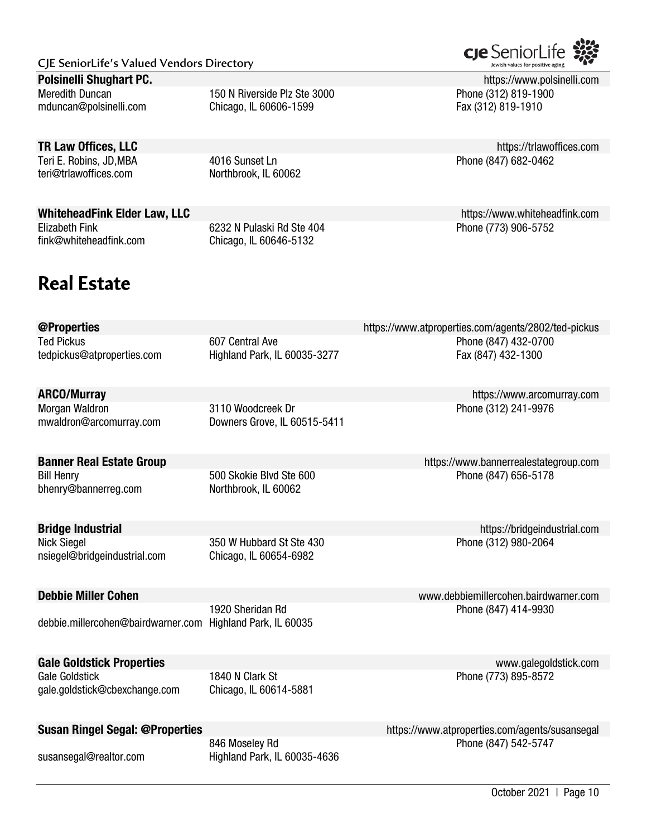Meredith Duncan **150 N** Riverside Plz Ste 3000 Phone (312) 819-1900 mduncan@polsinelli.com Chicago, IL 60606-1599 Fax (312) 819-1910

Teri E. Robins, JD,MBA 4016 Sunset Ln Phone (847) 682-0462 teri@trlawoffices.com Northbrook, IL 60062

Elizabeth Fink 6232 N Pulaski Rd Ste 404 Phone (773) 906-5752 fink@whiteheadfink.com Chicago, IL 60646-5132

# **Real Estate**

tedpickus@atproperties.com Highland Park, IL 60035-3277 Fax (847) 432-1300 ARCO/Murray https://www.arcomurray.com Morgan Waldron **3110 Woodcreek Dr** Phone (312) 241-9976 mwaldron@arcomurray.com Downers Grove, IL 60515-5411 **Banner Real Estate Group https://www.bannerrealestategroup.com** Bill Henry **Example 20** Superson to the 500 Skokie Blvd Ste 600 **Phone (847) 656-5178** bhenry@bannerreg.com Northbrook, IL 60062 **Bridge Industrial https://bridgeindustrial.com** Nick Siegel 350 W Hubbard St Ste 430 Phone (312) 980-2064 nsiegel@bridgeindustrial.com Chicago, IL 60654-6982 Debbie Miller Cohen www.debbiemillercohen.bairdwarner.com 1920 Sheridan Rd Phone (847) 414-9930 debbie.millercohen@bairdwarner.com Highland Park, IL 60035 Gale Goldstick Properties **Contract Contract Contract Contract Contract Contract Contract Contract Contract Contract Contract Contract Contract Contract Contract Contract Contract Contract Contract Contract Contract Contra** Gale Goldstick **1840 N Clark St Phone (773) 895-8572** gale.goldstick@cbexchange.com Chicago, IL 60614-5881

susansegal@realtor.com Highland Park, IL 60035-4636

cre SeniorLi

**Polsinelli Shughart PC. Example 2018 Polsinelli Compare 2018 https://www.polsinelli.com** 

**TR Law Offices, LLC https://trlawoffices.com** 

WhiteheadFink Elder Law, LLC **https://www.whiteheadfink.com** 

@Properties https://www.atproperties.com/agents/2802/ted-pickus Ted Pickus **607 Central Ave Phone (847) 432-0700** Phone (847) 432-0700

Susan Ringel Segal: @Properties https://www.atproperties.com/agents/susansegal 846 Moseley Rd **Phone (847)** 542-5747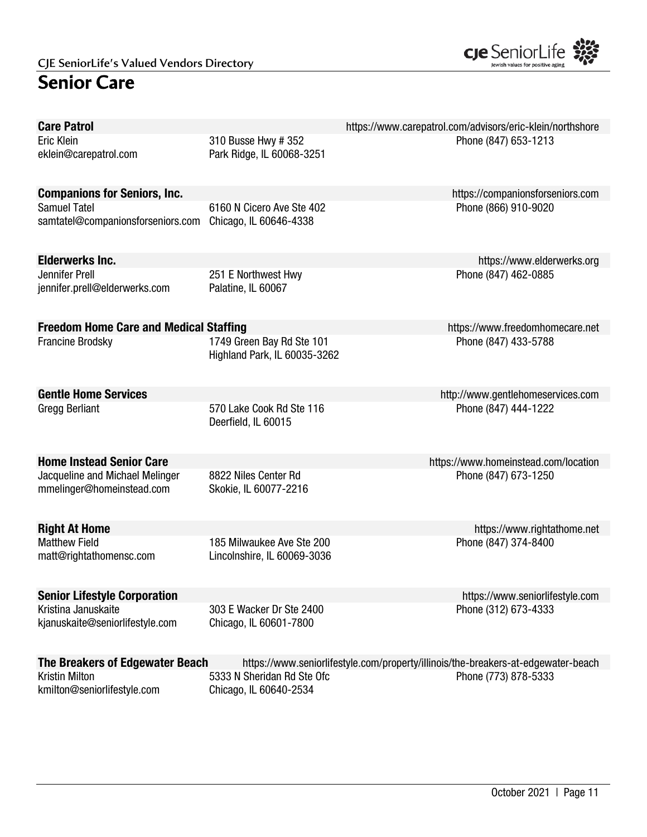# **Senior Care**



| <b>Care Patrol</b>                                           |                                                           | https://www.carepatrol.com/advisors/eric-klein/northshore                         |
|--------------------------------------------------------------|-----------------------------------------------------------|-----------------------------------------------------------------------------------|
| Eric Klein<br>eklein@carepatrol.com                          | 310 Busse Hwy # 352<br>Park Ridge, IL 60068-3251          | Phone (847) 653-1213                                                              |
| <b>Companions for Seniors, Inc.</b>                          |                                                           | https://companionsforseniors.com                                                  |
| <b>Samuel Tatel</b><br>samtatel@companionsforseniors.com     | 6160 N Cicero Ave Ste 402<br>Chicago, IL 60646-4338       | Phone (866) 910-9020                                                              |
| <b>Elderwerks Inc.</b>                                       |                                                           | https://www.elderwerks.org                                                        |
| Jennifer Prell<br>jennifer.prell@elderwerks.com              | 251 E Northwest Hwy<br>Palatine, IL 60067                 | Phone (847) 462-0885                                                              |
| <b>Freedom Home Care and Medical Staffing</b>                |                                                           | https://www.freedomhomecare.net                                                   |
| <b>Francine Brodsky</b>                                      | 1749 Green Bay Rd Ste 101<br>Highland Park, IL 60035-3262 | Phone (847) 433-5788                                                              |
| <b>Gentle Home Services</b>                                  |                                                           | http://www.gentlehomeservices.com                                                 |
| <b>Gregg Berliant</b>                                        | 570 Lake Cook Rd Ste 116<br>Deerfield, IL 60015           | Phone (847) 444-1222                                                              |
| <b>Home Instead Senior Care</b>                              |                                                           | https://www.homeinstead.com/location                                              |
| Jacqueline and Michael Melinger<br>mmelinger@homeinstead.com | 8822 Niles Center Rd<br>Skokie, IL 60077-2216             | Phone (847) 673-1250                                                              |
| <b>Right At Home</b>                                         |                                                           | https://www.rightathome.net                                                       |
| <b>Matthew Field</b><br>matt@rightathomensc.com              | 185 Milwaukee Ave Ste 200<br>Lincolnshire, IL 60069-3036  | Phone (847) 374-8400                                                              |
| <b>Senior Lifestyle Corporation</b>                          |                                                           | https://www.seniorlifestyle.com                                                   |
| Kristina Januskaite<br>kjanuskaite@seniorlifestyle.com       | 303 E Wacker Dr Ste 2400<br>Chicago, IL 60601-7800        | Phone (312) 673-4333                                                              |
| The Breakers of Edgewater Beach                              |                                                           | https://www.seniorlifestyle.com/property/illinois/the-breakers-at-edgewater-beach |
| <b>Kristin Milton</b><br>kmilton@seniorlifestyle.com         | 5333 N Sheridan Rd Ste Ofc<br>Chicago, IL 60640-2534      | Phone (773) 878-5333                                                              |